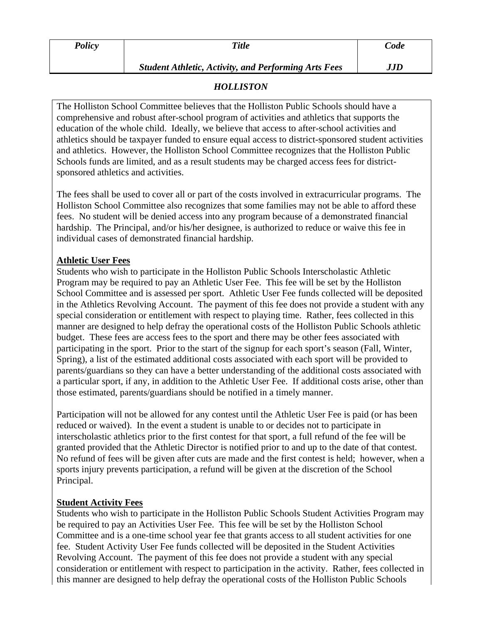| <b>Policy</b> | <b>Title</b>                                                | Code |
|---------------|-------------------------------------------------------------|------|
|               | <b>Student Athletic, Activity, and Performing Arts Fees</b> | JJD  |

## *HOLLISTON*

The Holliston School Committee believes that the Holliston Public Schools should have a comprehensive and robust after-school program of activities and athletics that supports the education of the whole child. Ideally, we believe that access to after-school activities and athletics should be taxpayer funded to ensure equal access to district-sponsored student activities and athletics. However, the Holliston School Committee recognizes that the Holliston Public Schools funds are limited, and as a result students may be charged access fees for districtsponsored athletics and activities.

The fees shall be used to cover all or part of the costs involved in extracurricular programs. The Holliston School Committee also recognizes that some families may not be able to afford these fees. No student will be denied access into any program because of a demonstrated financial hardship. The Principal, and/or his/her designee, is authorized to reduce or waive this fee in individual cases of demonstrated financial hardship.

## **Athletic User Fees**

Students who wish to participate in the Holliston Public Schools Interscholastic Athletic Program may be required to pay an Athletic User Fee. This fee will be set by the Holliston School Committee and is assessed per sport. Athletic User Fee funds collected will be deposited in the Athletics Revolving Account. The payment of this fee does not provide a student with any special consideration or entitlement with respect to playing time. Rather, fees collected in this manner are designed to help defray the operational costs of the Holliston Public Schools athletic budget. These fees are access fees to the sport and there may be other fees associated with participating in the sport. Prior to the start of the signup for each sport's season (Fall, Winter, Spring), a list of the estimated additional costs associated with each sport will be provided to parents/guardians so they can have a better understanding of the additional costs associated with a particular sport, if any, in addition to the Athletic User Fee. If additional costs arise, other than those estimated, parents/guardians should be notified in a timely manner.

Participation will not be allowed for any contest until the Athletic User Fee is paid (or has been reduced or waived). In the event a student is unable to or decides not to participate in interscholastic athletics prior to the first contest for that sport, a full refund of the fee will be granted provided that the Athletic Director is notified prior to and up to the date of that contest. No refund of fees will be given after cuts are made and the first contest is held; however, when a sports injury prevents participation, a refund will be given at the discretion of the School Principal.

## **Student Activity Fees**

Students who wish to participate in the Holliston Public Schools Student Activities Program may be required to pay an Activities User Fee. This fee will be set by the Holliston School Committee and is a one-time school year fee that grants access to all student activities for one fee. Student Activity User Fee funds collected will be deposited in the Student Activities Revolving Account. The payment of this fee does not provide a student with any special consideration or entitlement with respect to participation in the activity. Rather, fees collected in this manner are designed to help defray the operational costs of the Holliston Public Schools